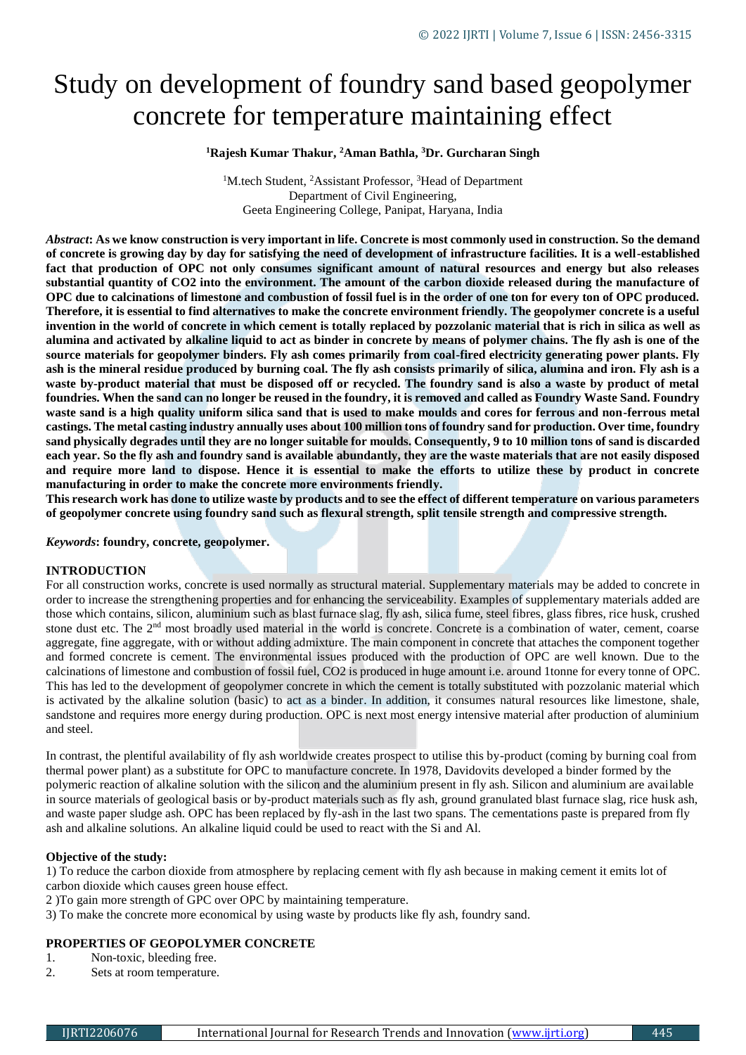# Study on development of foundry sand based geopolymer concrete for temperature maintaining effect

### **<sup>1</sup>Rajesh Kumar Thakur, <sup>2</sup>Aman Bathla, <sup>3</sup>Dr. Gurcharan Singh**

<sup>1</sup>M.tech Student, <sup>2</sup>Assistant Professor, <sup>3</sup>Head of Department Department of Civil Engineering, Geeta Engineering College, Panipat, Haryana, India

*Abstract***: As we know construction is very important in life. Concrete is most commonly used in construction. So the demand of concrete is growing day by day for satisfying the need of development of infrastructure facilities. It is a well-established fact that production of OPC not only consumes significant amount of natural resources and energy but also releases substantial quantity of CO2 into the environment. The amount of the carbon dioxide released during the manufacture of OPC due to calcinations of limestone and combustion of fossil fuel is in the order of one ton for every ton of OPC produced. Therefore, it is essential to find alternatives to make the concrete environment friendly. The geopolymer concrete is a useful invention in the world of concrete in which cement is totally replaced by pozzolanic material that is rich in silica as well as alumina and activated by alkaline liquid to act as binder in concrete by means of polymer chains. The fly ash is one of the source materials for geopolymer binders. Fly ash comes primarily from coal-fired electricity generating power plants. Fly ash is the mineral residue produced by burning coal. The fly ash consists primarily of silica, alumina and iron. Fly ash is a waste by-product material that must be disposed off or recycled. The foundry sand is also a waste by product of metal foundries. When the sand can no longer be reused in the foundry, it is removed and called as Foundry Waste Sand. Foundry waste sand is a high quality uniform silica sand that is used to make moulds and cores for ferrous and non-ferrous metal castings. The metal casting industry annually uses about 100 million tons of foundry sand for production. Over time, foundry sand physically degrades until they are no longer suitable for moulds. Consequently, 9 to 10 million tons of sand is discarded each year. So the fly ash and foundry sand is available abundantly, they are the waste materials that are not easily disposed and require more land to dispose. Hence it is essential to make the efforts to utilize these by product in concrete manufacturing in order to make the concrete more environments friendly.** 

**This research work has done to utilize waste by products and to see the effect of different temperature on various parameters of geopolymer concrete using foundry sand such as flexural strength, split tensile strength and compressive strength.**

### *Keywords***: foundry, concrete, geopolymer.**

#### **INTRODUCTION**

For all construction works, concrete is used normally as structural material. Supplementary materials may be added to concrete in order to increase the strengthening properties and for enhancing the serviceability. Examples of supplementary materials added are those which contains, silicon, aluminium such as blast furnace slag, fly ash, silica fume, steel fibres, glass fibres, rice husk, crushed stone dust etc. The 2nd most broadly used material in the world is concrete. Concrete is a combination of water, cement, coarse aggregate, fine aggregate, with or without adding admixture. The main component in concrete that attaches the component together and formed concrete is cement. The environmental issues produced with the production of OPC are well known. Due to the calcinations of limestone and combustion of fossil fuel, CO2 is produced in huge amount i.e. around 1tonne for every tonne of OPC. This has led to the development of geopolymer concrete in which the cement is totally substituted with pozzolanic material which is activated by the alkaline solution (basic) to act as a binder. In addition, it consumes natural resources like limestone, shale, sandstone and requires more energy during production. OPC is next most energy intensive material after production of aluminium and steel.

In contrast, the plentiful availability of fly ash worldwide creates prospect to utilise this by-product (coming by burning coal from thermal power plant) as a substitute for OPC to manufacture concrete. In 1978, Davidovits developed a binder formed by the polymeric reaction of alkaline solution with the silicon and the aluminium present in fly ash. Silicon and aluminium are available in source materials of geological basis or by-product materials such as fly ash, ground granulated blast furnace slag, rice husk ash, and waste paper sludge ash. OPC has been replaced by fly-ash in the last two spans. The cementations paste is prepared from fly ash and alkaline solutions. An alkaline liquid could be used to react with the Si and Al.

#### **Objective of the study:**

1) To reduce the carbon dioxide from atmosphere by replacing cement with fly ash because in making cement it emits lot of carbon dioxide which causes green house effect.

2 )To gain more strength of GPC over OPC by maintaining temperature.

3) To make the concrete more economical by using waste by products like fly ash, foundry sand.

### **PROPERTIES OF GEOPOLYMER CONCRETE**

- 1. Non-toxic, bleeding free.
- 2. Sets at room temperature.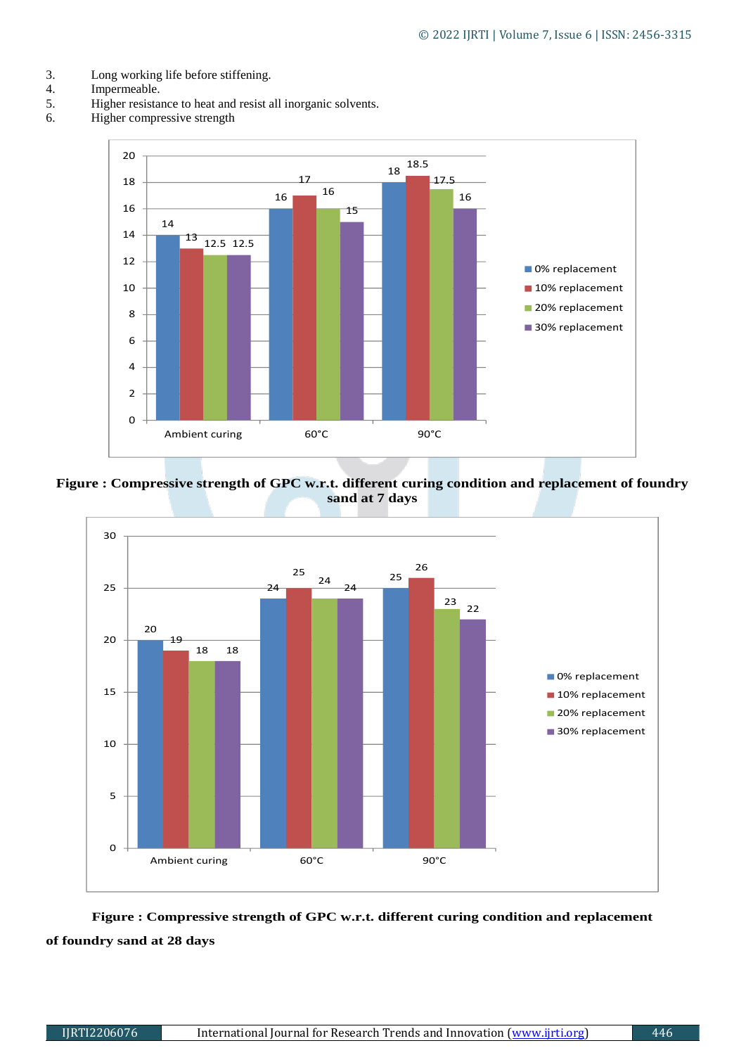- 3. Long working life before stiffening.<br>4. Impermeable.
- 4. Impermeable.<br>5. Higher resista
- 5. Higher resistance to heat and resist all inorganic solvents.
- 6. Higher compressive strength



### **Figure : Compressive strength of GPC w.r.t. different curing condition and replacement of foundry sand at 7 days**



## **Figure : Compressive strength of GPC w.r.t. different curing condition and replacement of foundry sand at 28 days**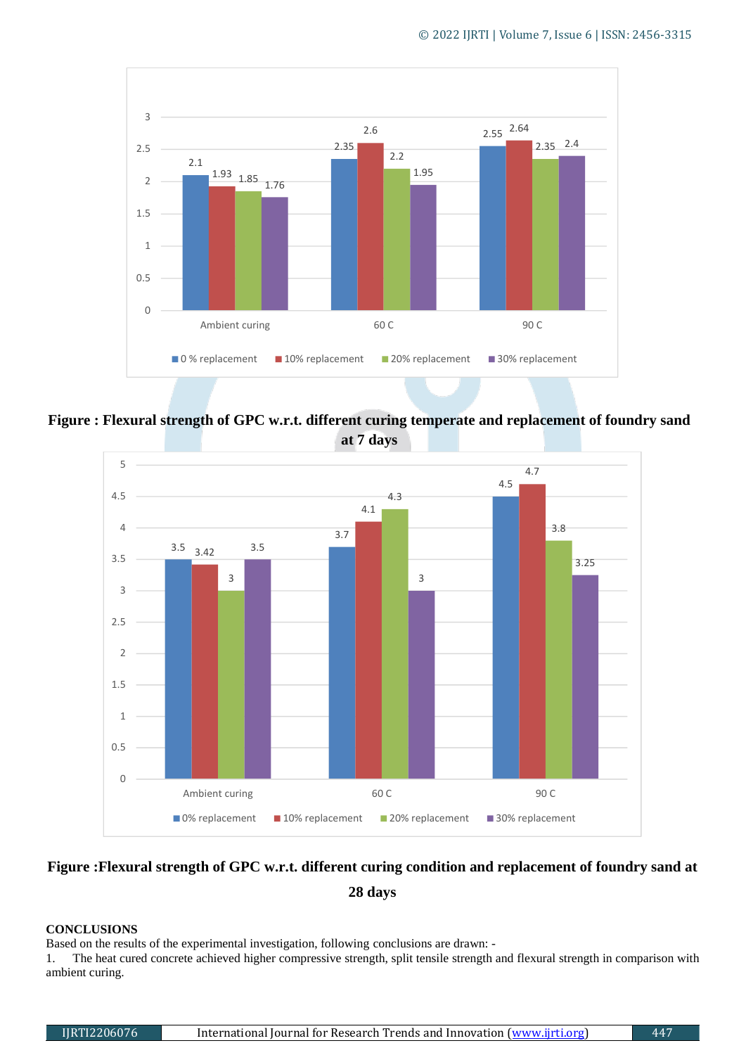

**Figure : Flexural strength of GPC w.r.t. different curing temperate and replacement of foundry sand at 7 days**



# **Figure :Flexural strength of GPC w.r.t. different curing condition and replacement of foundry sand at 28 days**

### **CONCLUSIONS**

Based on the results of the experimental investigation, following conclusions are drawn: -

1. The heat cured concrete achieved higher compressive strength, split tensile strength and flexural strength in comparison with ambient curing.